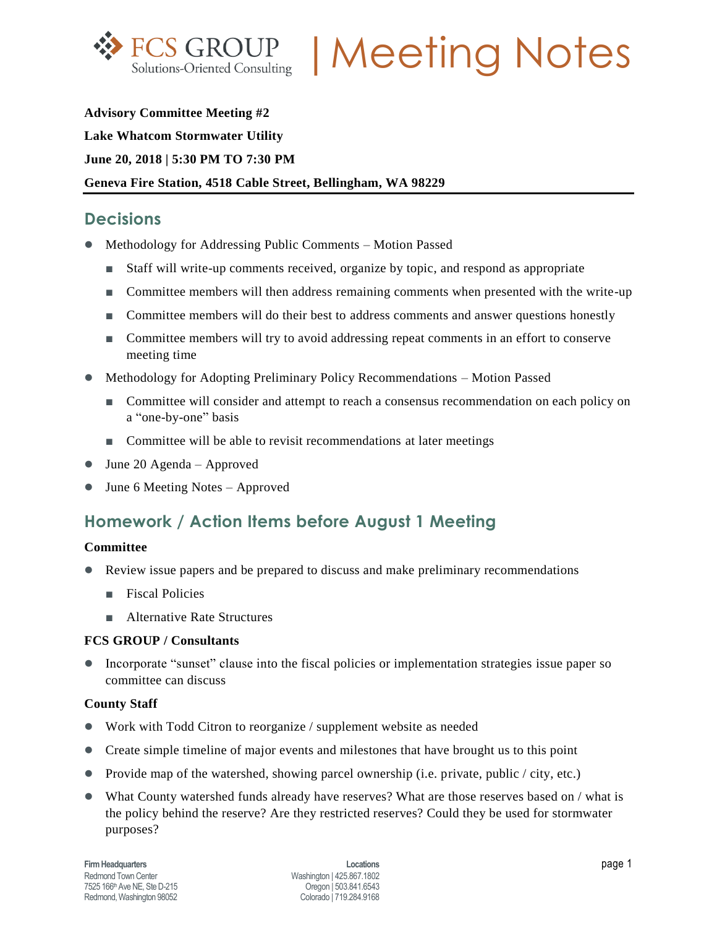

FCS GROUP | Meeting Notes

**Advisory Committee Meeting #2 Lake Whatcom Stormwater Utility June 20, 2018 | 5:30 PM TO 7:30 PM Geneva Fire Station, 4518 Cable Street, Bellingham, WA 98229**

## **Decisions**

- Methodology for Addressing Public Comments Motion Passed
	- Staff will write-up comments received, organize by topic, and respond as appropriate
	- Committee members will then address remaining comments when presented with the write-up
	- Committee members will do their best to address comments and answer questions honestly
	- Committee members will try to avoid addressing repeat comments in an effort to conserve meeting time
- Methodology for Adopting Preliminary Policy Recommendations Motion Passed
	- Committee will consider and attempt to reach a consensus recommendation on each policy on a "one-by-one" basis
	- Committee will be able to revisit recommendations at later meetings
- June 20 Agenda Approved
- June 6 Meeting Notes Approved

## **Homework / Action Items before August 1 Meeting**

#### **Committee**

- Review issue papers and be prepared to discuss and make preliminary recommendations
	- **■** Fiscal Policies
	- Alternative Rate Structures

#### **FCS GROUP / Consultants**

• Incorporate "sunset" clause into the fiscal policies or implementation strategies issue paper so committee can discuss

#### **County Staff**

- Work with Todd Citron to reorganize / supplement website as needed
- Create simple timeline of major events and milestones that have brought us to this point
- Provide map of the watershed, showing parcel ownership (i.e. private, public / city, etc.)
- What County watershed funds already have reserves? What are those reserves based on / what is the policy behind the reserve? Are they restricted reserves? Could they be used for stormwater purposes?